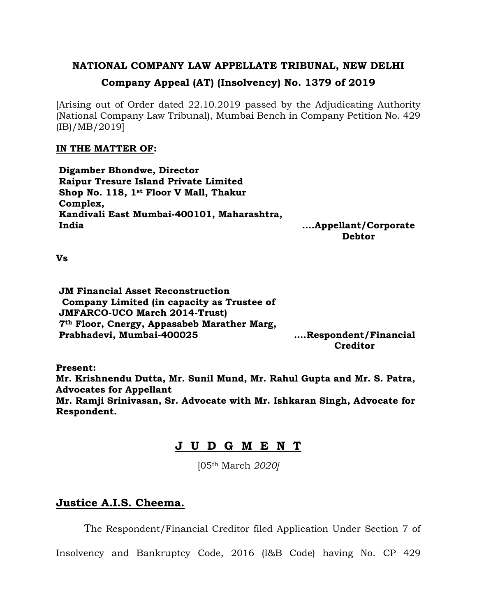# **NATIONAL COMPANY LAW APPELLATE TRIBUNAL, NEW DELHI Company Appeal (AT) (Insolvency) No. 1379 of 2019**

[Arising out of Order dated 22.10.2019 passed by the Adjudicating Authority (National Company Law Tribunal), Mumbai Bench in Company Petition No. 429 (IB)/MB/2019]

#### **IN THE MATTER OF:**

**Digamber Bhondwe, Director Raipur Tresure Island Private Limited Shop No. 118, 1st Floor V Mall, Thakur Complex, Kandivali East Mumbai-400101, Maharashtra, India**

**….Appellant/Corporate Debtor**

**Vs**

**JM Financial Asset Reconstruction Company Limited (in capacity as Trustee of JMFARCO-UCO March 2014-Trust) 7th Floor, Cnergy, Appasabeb Marather Marg, Prabhadevi, Mumbai-400025 ….Respondent/Financial Creditor**

**Present:**

**Mr. Krishnendu Dutta, Mr. Sunil Mund, Mr. Rahul Gupta and Mr. S. Patra, Advocates for Appellant Mr. Ramji Srinivasan, Sr. Advocate with Mr. Ishkaran Singh, Advocate for Respondent.**

## **J U D G M E N T**

[05th March *2020]*

### **Justice A.I.S. Cheema.**

The Respondent/Financial Creditor filed Application Under Section 7 of

Insolvency and Bankruptcy Code, 2016 (I&B Code) having No. CP 429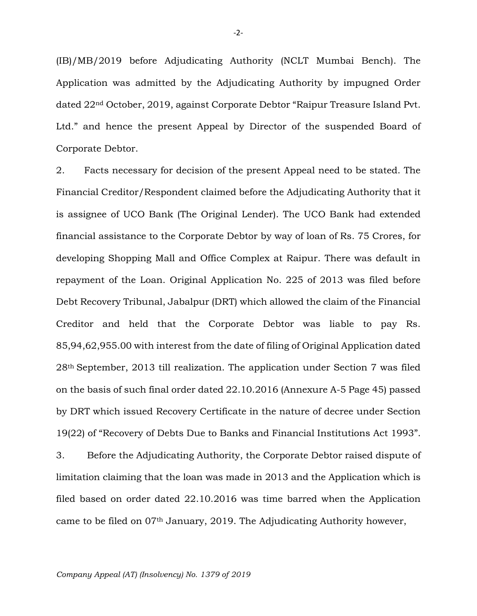(IB)/MB/2019 before Adjudicating Authority (NCLT Mumbai Bench). The Application was admitted by the Adjudicating Authority by impugned Order dated 22nd October, 2019, against Corporate Debtor "Raipur Treasure Island Pvt. Ltd." and hence the present Appeal by Director of the suspended Board of Corporate Debtor.

2. Facts necessary for decision of the present Appeal need to be stated. The Financial Creditor/Respondent claimed before the Adjudicating Authority that it is assignee of UCO Bank (The Original Lender). The UCO Bank had extended financial assistance to the Corporate Debtor by way of loan of Rs. 75 Crores, for developing Shopping Mall and Office Complex at Raipur. There was default in repayment of the Loan. Original Application No. 225 of 2013 was filed before Debt Recovery Tribunal, Jabalpur (DRT) which allowed the claim of the Financial Creditor and held that the Corporate Debtor was liable to pay Rs. 85,94,62,955.00 with interest from the date of filing of Original Application dated 28th September, 2013 till realization. The application under Section 7 was filed on the basis of such final order dated 22.10.2016 (Annexure A-5 Page 45) passed by DRT which issued Recovery Certificate in the nature of decree under Section 19(22) of "Recovery of Debts Due to Banks and Financial Institutions Act 1993".

3. Before the Adjudicating Authority, the Corporate Debtor raised dispute of limitation claiming that the loan was made in 2013 and the Application which is filed based on order dated 22.10.2016 was time barred when the Application came to be filed on 07th January, 2019. The Adjudicating Authority however,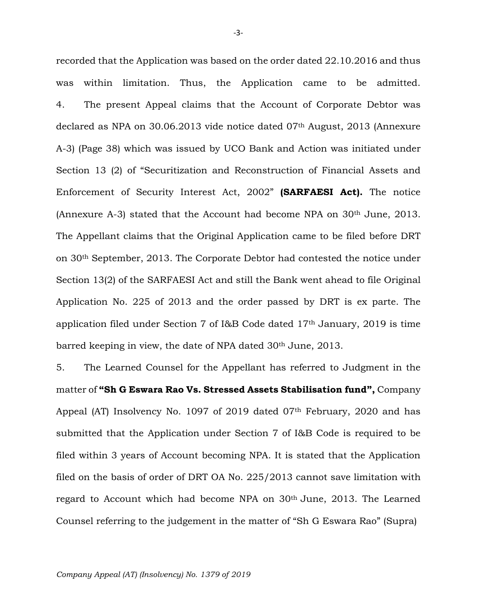recorded that the Application was based on the order dated 22.10.2016 and thus was within limitation. Thus, the Application came to be admitted. 4. The present Appeal claims that the Account of Corporate Debtor was declared as NPA on 30.06.2013 vide notice dated 07<sup>th</sup> August, 2013 (Annexure A-3) (Page 38) which was issued by UCO Bank and Action was initiated under Section 13 (2) of "Securitization and Reconstruction of Financial Assets and Enforcement of Security Interest Act, 2002" **(SARFAESI Act).** The notice (Annexure A-3) stated that the Account had become NPA on 30th June, 2013. The Appellant claims that the Original Application came to be filed before DRT on 30th September, 2013. The Corporate Debtor had contested the notice under Section 13(2) of the SARFAESI Act and still the Bank went ahead to file Original Application No. 225 of 2013 and the order passed by DRT is ex parte. The application filed under Section 7 of I&B Code dated 17th January, 2019 is time barred keeping in view, the date of NPA dated 30<sup>th</sup> June, 2013.

5. The Learned Counsel for the Appellant has referred to Judgment in the matter of **"Sh G Eswara Rao Vs. Stressed Assets Stabilisation fund",** Company Appeal (AT) Insolvency No. 1097 of 2019 dated  $07<sup>th</sup>$  February, 2020 and has submitted that the Application under Section 7 of I&B Code is required to be filed within 3 years of Account becoming NPA. It is stated that the Application filed on the basis of order of DRT OA No. 225/2013 cannot save limitation with regard to Account which had become NPA on 30th June, 2013. The Learned Counsel referring to the judgement in the matter of "Sh G Eswara Rao" (Supra)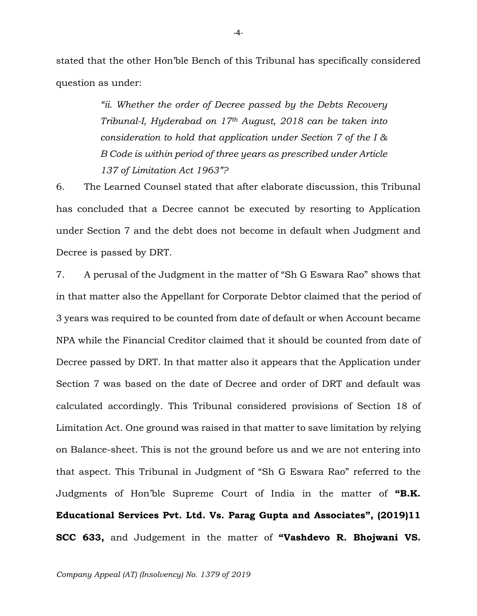stated that the other Hon'ble Bench of this Tribunal has specifically considered question as under:

> *"ii. Whether the order of Decree passed by the Debts Recovery Tribunal-I, Hyderabad on 17th August, 2018 can be taken into consideration to hold that application under Section 7 of the I & B Code is within period of three years as prescribed under Article 137 of Limitation Act 1963"?*

6. The Learned Counsel stated that after elaborate discussion, this Tribunal has concluded that a Decree cannot be executed by resorting to Application under Section 7 and the debt does not become in default when Judgment and Decree is passed by DRT.

7. A perusal of the Judgment in the matter of "Sh G Eswara Rao" shows that in that matter also the Appellant for Corporate Debtor claimed that the period of 3 years was required to be counted from date of default or when Account became NPA while the Financial Creditor claimed that it should be counted from date of Decree passed by DRT. In that matter also it appears that the Application under Section 7 was based on the date of Decree and order of DRT and default was calculated accordingly. This Tribunal considered provisions of Section 18 of Limitation Act. One ground was raised in that matter to save limitation by relying on Balance-sheet. This is not the ground before us and we are not entering into that aspect. This Tribunal in Judgment of "Sh G Eswara Rao" referred to the Judgments of Hon'ble Supreme Court of India in the matter of **"B.K. Educational Services Pvt. Ltd. Vs. Parag Gupta and Associates", (2019)11 SCC 633,** and Judgement in the matter of **"Vashdevo R. Bhojwani VS.**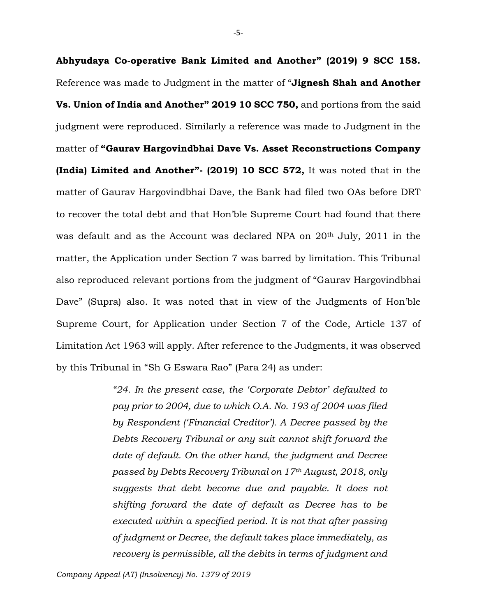**Abhyudaya Co-operative Bank Limited and Another" (2019) 9 SCC 158.** Reference was made to Judgment in the matter of "**Jignesh Shah and Another Vs. Union of India and Another" 2019 10 SCC 750,** and portions from the said judgment were reproduced. Similarly a reference was made to Judgment in the matter of **"Gaurav Hargovindbhai Dave Vs. Asset Reconstructions Company (India) Limited and Another"- (2019) 10 SCC 572,** It was noted that in the matter of Gaurav Hargovindbhai Dave, the Bank had filed two OAs before DRT to recover the total debt and that Hon'ble Supreme Court had found that there was default and as the Account was declared NPA on  $20<sup>th</sup>$  July,  $2011$  in the matter, the Application under Section 7 was barred by limitation. This Tribunal also reproduced relevant portions from the judgment of "Gaurav Hargovindbhai Dave" (Supra) also. It was noted that in view of the Judgments of Hon'ble Supreme Court, for Application under Section 7 of the Code, Article 137 of Limitation Act 1963 will apply. After reference to the Judgments, it was observed by this Tribunal in "Sh G Eswara Rao" (Para 24) as under:

> *"24. In the present case, the 'Corporate Debtor' defaulted to pay prior to 2004, due to which O.A. No. 193 of 2004 was filed by Respondent ('Financial Creditor'). A Decree passed by the Debts Recovery Tribunal or any suit cannot shift forward the date of default. On the other hand, the judgment and Decree passed by Debts Recovery Tribunal on 17th August, 2018, only suggests that debt become due and payable. It does not shifting forward the date of default as Decree has to be executed within a specified period. It is not that after passing of judgment or Decree, the default takes place immediately, as recovery is permissible, all the debits in terms of judgment and*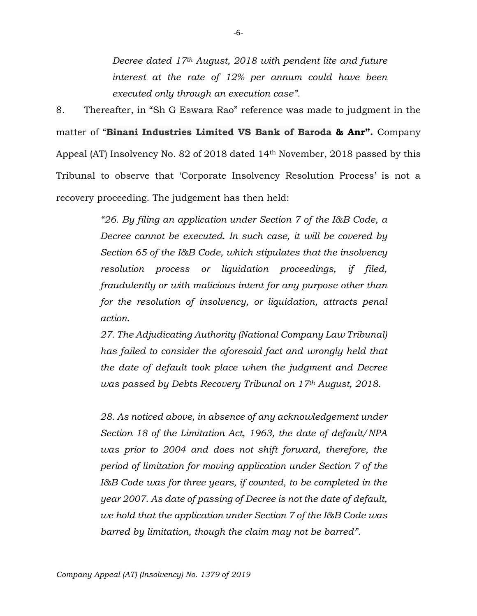*Decree dated 17th August, 2018 with pendent lite and future interest at the rate of 12% per annum could have been executed only through an execution case".*

8. Thereafter, in "Sh G Eswara Rao" reference was made to judgment in the matter of "**Binani Industries Limited VS Bank of Baroda & Anr".** Company Appeal (AT) Insolvency No. 82 of 2018 dated 14th November, 2018 passed by this Tribunal to observe that 'Corporate Insolvency Resolution Process' is not a recovery proceeding. The judgement has then held:

> *"26. By filing an application under Section 7 of the I&B Code, a Decree cannot be executed. In such case, it will be covered by Section 65 of the I&B Code, which stipulates that the insolvency resolution process or liquidation proceedings, if filed, fraudulently or with malicious intent for any purpose other than for the resolution of insolvency, or liquidation, attracts penal action.*

> *27. The Adjudicating Authority (National Company Law Tribunal) has failed to consider the aforesaid fact and wrongly held that the date of default took place when the judgment and Decree was passed by Debts Recovery Tribunal on 17th August, 2018.*

> *28. As noticed above, in absence of any acknowledgement under Section 18 of the Limitation Act, 1963, the date of default/NPA was prior to 2004 and does not shift forward, therefore, the period of limitation for moving application under Section 7 of the I&B Code was for three years, if counted, to be completed in the year 2007. As date of passing of Decree is not the date of default, we hold that the application under Section 7 of the I&B Code was barred by limitation, though the claim may not be barred".*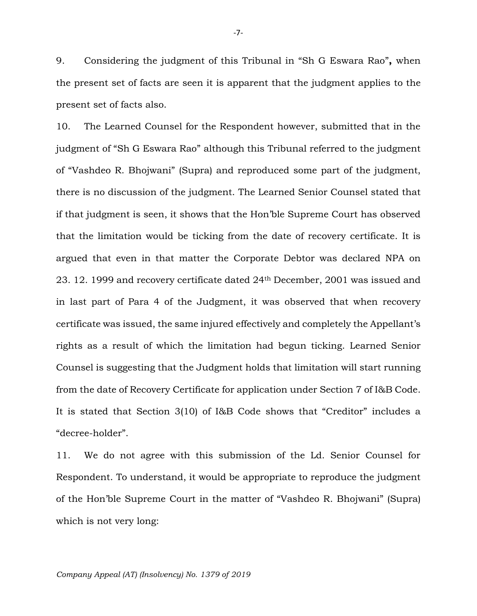9. Considering the judgment of this Tribunal in "Sh G Eswara Rao"**,** when the present set of facts are seen it is apparent that the judgment applies to the present set of facts also.

10. The Learned Counsel for the Respondent however, submitted that in the judgment of "Sh G Eswara Rao" although this Tribunal referred to the judgment of "Vashdeo R. Bhojwani" (Supra) and reproduced some part of the judgment, there is no discussion of the judgment. The Learned Senior Counsel stated that if that judgment is seen, it shows that the Hon'ble Supreme Court has observed that the limitation would be ticking from the date of recovery certificate. It is argued that even in that matter the Corporate Debtor was declared NPA on 23. 12. 1999 and recovery certificate dated 24th December, 2001 was issued and in last part of Para 4 of the Judgment, it was observed that when recovery certificate was issued, the same injured effectively and completely the Appellant's rights as a result of which the limitation had begun ticking. Learned Senior Counsel is suggesting that the Judgment holds that limitation will start running from the date of Recovery Certificate for application under Section 7 of I&B Code. It is stated that Section 3(10) of I&B Code shows that "Creditor" includes a "decree-holder".

11. We do not agree with this submission of the Ld. Senior Counsel for Respondent. To understand, it would be appropriate to reproduce the judgment of the Hon'ble Supreme Court in the matter of "Vashdeo R. Bhojwani" (Supra) which is not very long: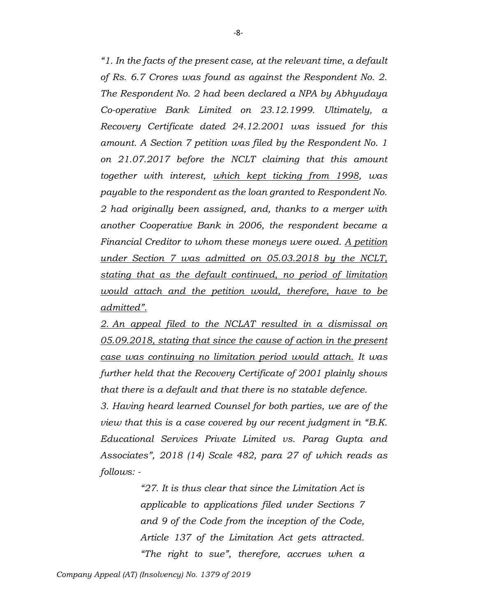*"1. In the facts of the present case, at the relevant time, a default of Rs. 6.7 Crores was found as against the Respondent No. 2. The Respondent No. 2 had been declared a NPA by Abhyudaya Co-operative Bank Limited on 23.12.1999. Ultimately, a Recovery Certificate dated 24.12.2001 was issued for this amount. A Section 7 petition was filed by the Respondent No. 1 on 21.07.2017 before the NCLT claiming that this amount together with interest, which kept ticking from 1998, was payable to the respondent as the loan granted to Respondent No. 2 had originally been assigned, and, thanks to a merger with another Cooperative Bank in 2006, the respondent became a Financial Creditor to whom these moneys were owed. A petition under Section 7 was admitted on 05.03.2018 by the NCLT, stating that as the default continued, no period of limitation would attach and the petition would, therefore, have to be admitted".*

*2. An appeal filed to the NCLAT resulted in a dismissal on 05.09.2018, stating that since the cause of action in the present case was continuing no limitation period would attach. It was further held that the Recovery Certificate of 2001 plainly shows that there is a default and that there is no statable defence.*

*3. Having heard learned Counsel for both parties, we are of the view that this is a case covered by our recent judgment in "B.K. Educational Services Private Limited vs. Parag Gupta and Associates", 2018 (14) Scale 482, para 27 of which reads as follows: -*

> *"27. It is thus clear that since the Limitation Act is applicable to applications filed under Sections 7 and 9 of the Code from the inception of the Code, Article 137 of the Limitation Act gets attracted. "The right to sue", therefore, accrues when a*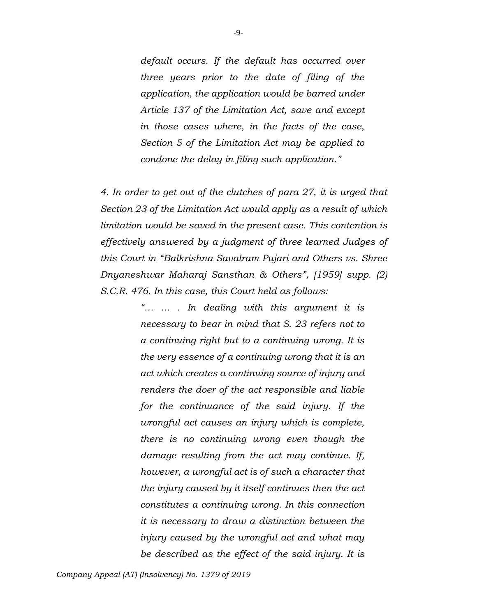*default occurs. If the default has occurred over three years prior to the date of filing of the application, the application would be barred under Article 137 of the Limitation Act, save and except in those cases where, in the facts of the case, Section 5 of the Limitation Act may be applied to condone the delay in filing such application."*

*4. In order to get out of the clutches of para 27, it is urged that Section 23 of the Limitation Act would apply as a result of which limitation would be saved in the present case. This contention is effectively answered by a judgment of three learned Judges of this Court in "Balkrishna Savalram Pujari and Others vs. Shree Dnyaneshwar Maharaj Sansthan & Others", [1959] supp. (2) S.C.R. 476. In this case, this Court held as follows:*

> *"… … . In dealing with this argument it is necessary to bear in mind that S. 23 refers not to a continuing right but to a continuing wrong. It is the very essence of a continuing wrong that it is an act which creates a continuing source of injury and renders the doer of the act responsible and liable for the continuance of the said injury. If the wrongful act causes an injury which is complete, there is no continuing wrong even though the damage resulting from the act may continue. If, however, a wrongful act is of such a character that the injury caused by it itself continues then the act constitutes a continuing wrong. In this connection it is necessary to draw a distinction between the injury caused by the wrongful act and what may be described as the effect of the said injury. It is*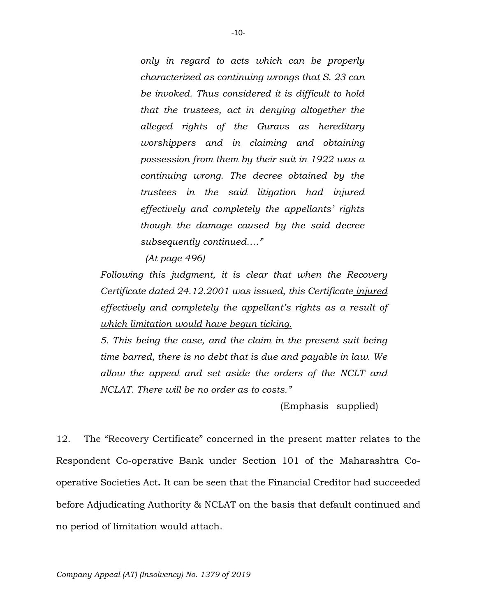*only in regard to acts which can be properly characterized as continuing wrongs that S. 23 can be invoked. Thus considered it is difficult to hold that the trustees, act in denying altogether the alleged rights of the Guravs as hereditary worshippers and in claiming and obtaining possession from them by their suit in 1922 was a continuing wrong. The decree obtained by the trustees in the said litigation had injured effectively and completely the appellants' rights though the damage caused by the said decree subsequently continued…."*

 *(At page 496)*

*Following this judgment, it is clear that when the Recovery Certificate dated 24.12.2001 was issued, this Certificate injured effectively and completely the appellant's rights as a result of which limitation would have begun ticking.*

*5. This being the case, and the claim in the present suit being time barred, there is no debt that is due and payable in law. We allow the appeal and set aside the orders of the NCLT and NCLAT. There will be no order as to costs."*

(Emphasis supplied)

12. The "Recovery Certificate" concerned in the present matter relates to the Respondent Co-operative Bank under Section 101 of the Maharashtra Cooperative Societies Act**.** It can be seen that the Financial Creditor had succeeded before Adjudicating Authority & NCLAT on the basis that default continued and no period of limitation would attach.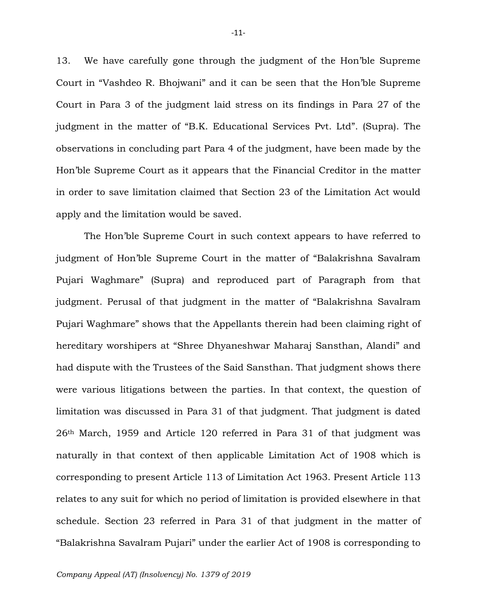13. We have carefully gone through the judgment of the Hon'ble Supreme Court in "Vashdeo R. Bhojwani" and it can be seen that the Hon'ble Supreme Court in Para 3 of the judgment laid stress on its findings in Para 27 of the judgment in the matter of "B.K. Educational Services Pvt. Ltd". (Supra). The observations in concluding part Para 4 of the judgment, have been made by the Hon'ble Supreme Court as it appears that the Financial Creditor in the matter in order to save limitation claimed that Section 23 of the Limitation Act would apply and the limitation would be saved.

The Hon'ble Supreme Court in such context appears to have referred to judgment of Hon'ble Supreme Court in the matter of "Balakrishna Savalram Pujari Waghmare" (Supra) and reproduced part of Paragraph from that judgment. Perusal of that judgment in the matter of "Balakrishna Savalram Pujari Waghmare" shows that the Appellants therein had been claiming right of hereditary worshipers at "Shree Dhyaneshwar Maharaj Sansthan, Alandi" and had dispute with the Trustees of the Said Sansthan. That judgment shows there were various litigations between the parties. In that context, the question of limitation was discussed in Para 31 of that judgment. That judgment is dated 26th March, 1959 and Article 120 referred in Para 31 of that judgment was naturally in that context of then applicable Limitation Act of 1908 which is corresponding to present Article 113 of Limitation Act 1963. Present Article 113 relates to any suit for which no period of limitation is provided elsewhere in that schedule. Section 23 referred in Para 31 of that judgment in the matter of "Balakrishna Savalram Pujari" under the earlier Act of 1908 is corresponding to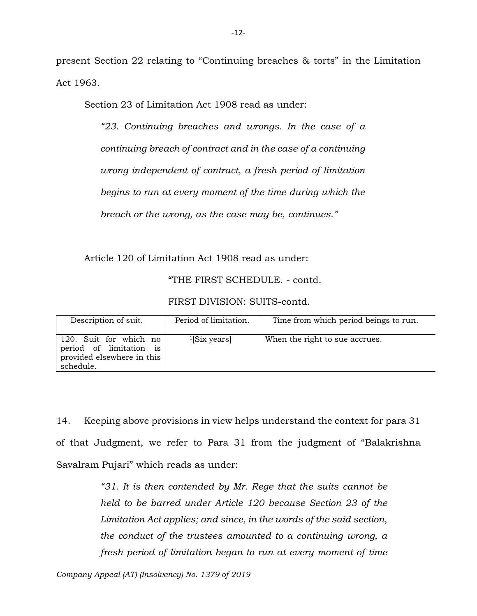present Section 22 relating to "Continuing breaches & torts" in the Limitation Act 1963.

Section 23 of Limitation Act 1908 read as under:

*"23. Continuing breaches and wrongs. In the case of a continuing breach of contract and in the case of a continuing wrong independent of contract, a fresh period of limitation begins to run at every moment of the time during which the breach or the wrong, as the case may be, continues."*

Article 120 of Limitation Act 1908 read as under:

"THE FIRST SCHEDULE. - contd.

FIRST DIVISION: SUITS-contd.

| Description of suit.                                                                         | Period of limitation. | Time from which period beings to run. |
|----------------------------------------------------------------------------------------------|-----------------------|---------------------------------------|
| 120. Suit for which no<br>period of limitation is<br>provided elsewhere in this<br>schedule. | $^{1}$ [Six years]    | When the right to sue accrues.        |

14. Keeping above provisions in view helps understand the context for para 31 of that Judgment, we refer to Para 31 from the judgment of "Balakrishna Savalram Pujari" which reads as under:

> *"31. It is then contended by Mr. Rege that the suits cannot be held to be barred under Article 120 because Section 23 of the Limitation Act applies; and since, in the words of the said section, the conduct of the trustees amounted to a continuing wrong, a fresh period of limitation began to run at every moment of time*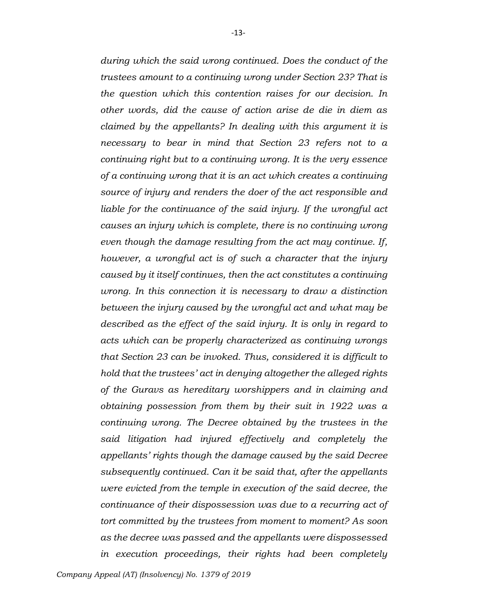*during which the said wrong continued. Does the conduct of the trustees amount to a continuing wrong under Section 23? That is the question which this contention raises for our decision. In other words, did the cause of action arise de die in diem as claimed by the appellants? In dealing with this argument it is necessary to bear in mind that Section 23 refers not to a continuing right but to a continuing wrong. It is the very essence of a continuing wrong that it is an act which creates a continuing source of injury and renders the doer of the act responsible and liable for the continuance of the said injury. If the wrongful act causes an injury which is complete, there is no continuing wrong even though the damage resulting from the act may continue. If, however, a wrongful act is of such a character that the injury caused by it itself continues, then the act constitutes a continuing wrong. In this connection it is necessary to draw a distinction between the injury caused by the wrongful act and what may be described as the effect of the said injury. It is only in regard to acts which can be properly characterized as continuing wrongs that Section 23 can be invoked. Thus, considered it is difficult to hold that the trustees' act in denying altogether the alleged rights of the Guravs as hereditary worshippers and in claiming and obtaining possession from them by their suit in 1922 was a continuing wrong. The Decree obtained by the trustees in the said litigation had injured effectively and completely the appellants' rights though the damage caused by the said Decree subsequently continued. Can it be said that, after the appellants were evicted from the temple in execution of the said decree, the continuance of their dispossession was due to a recurring act of tort committed by the trustees from moment to moment? As soon as the decree was passed and the appellants were dispossessed in execution proceedings, their rights had been completely*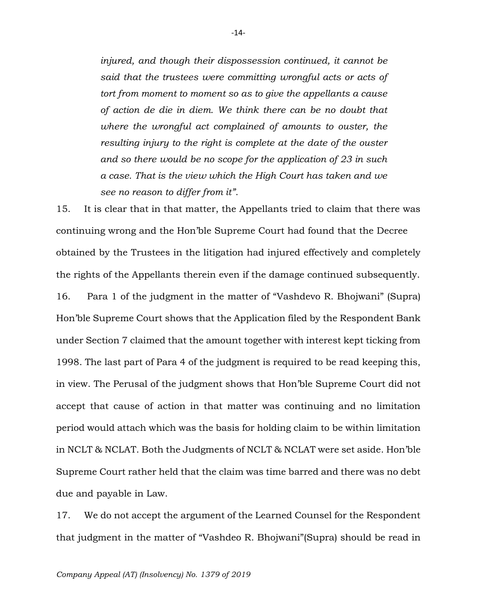*injured, and though their dispossession continued, it cannot be said that the trustees were committing wrongful acts or acts of tort from moment to moment so as to give the appellants a cause of action de die in diem. We think there can be no doubt that where the wrongful act complained of amounts to ouster, the resulting injury to the right is complete at the date of the ouster and so there would be no scope for the application of 23 in such a case. That is the view which the High Court has taken and we see no reason to differ from it"*.

15. It is clear that in that matter, the Appellants tried to claim that there was continuing wrong and the Hon'ble Supreme Court had found that the Decree obtained by the Trustees in the litigation had injured effectively and completely the rights of the Appellants therein even if the damage continued subsequently. 16. Para 1 of the judgment in the matter of "Vashdevo R. Bhojwani" (Supra) Hon'ble Supreme Court shows that the Application filed by the Respondent Bank under Section 7 claimed that the amount together with interest kept ticking from 1998. The last part of Para 4 of the judgment is required to be read keeping this, in view. The Perusal of the judgment shows that Hon'ble Supreme Court did not accept that cause of action in that matter was continuing and no limitation period would attach which was the basis for holding claim to be within limitation in NCLT & NCLAT. Both the Judgments of NCLT & NCLAT were set aside. Hon'ble Supreme Court rather held that the claim was time barred and there was no debt due and payable in Law.

17. We do not accept the argument of the Learned Counsel for the Respondent that judgment in the matter of "Vashdeo R. Bhojwani"(Supra) should be read in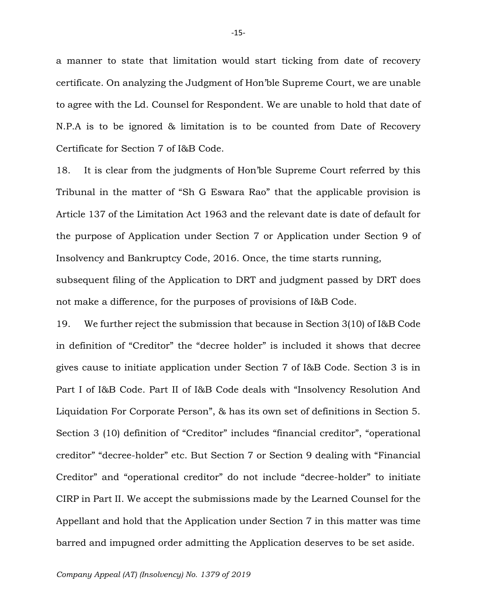a manner to state that limitation would start ticking from date of recovery certificate. On analyzing the Judgment of Hon'ble Supreme Court, we are unable to agree with the Ld. Counsel for Respondent. We are unable to hold that date of N.P.A is to be ignored & limitation is to be counted from Date of Recovery Certificate for Section 7 of I&B Code.

18. It is clear from the judgments of Hon'ble Supreme Court referred by this Tribunal in the matter of "Sh G Eswara Rao" that the applicable provision is Article 137 of the Limitation Act 1963 and the relevant date is date of default for the purpose of Application under Section 7 or Application under Section 9 of Insolvency and Bankruptcy Code, 2016. Once, the time starts running, subsequent filing of the Application to DRT and judgment passed by DRT does not make a difference, for the purposes of provisions of I&B Code.

19. We further reject the submission that because in Section 3(10) of I&B Code in definition of "Creditor" the "decree holder" is included it shows that decree gives cause to initiate application under Section 7 of I&B Code. Section 3 is in Part I of I&B Code. Part II of I&B Code deals with "Insolvency Resolution And Liquidation For Corporate Person", & has its own set of definitions in Section 5. Section 3 (10) definition of "Creditor" includes "financial creditor", "operational creditor" "decree-holder" etc. But Section 7 or Section 9 dealing with "Financial Creditor" and "operational creditor" do not include "decree-holder" to initiate CIRP in Part II. We accept the submissions made by the Learned Counsel for the Appellant and hold that the Application under Section 7 in this matter was time barred and impugned order admitting the Application deserves to be set aside.